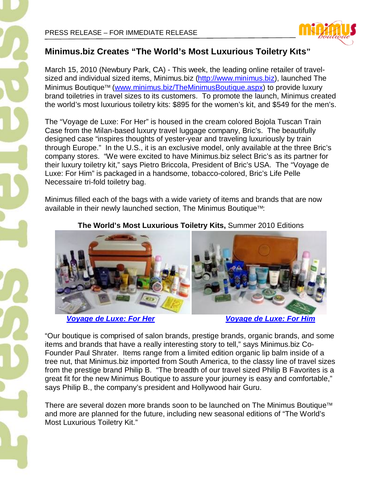Ī

PRESS RELEASE – FOR IMMEDIATE RELEASE



# **Minimus.biz Creates "The World's Most Luxurious Toiletry Kits"**

March 15, 2010 (Newbury Park, CA) - This week, the leading online retailer of travelsized and individual sized items, Minimus.biz (http://www.minimus.biz), launched The Minimus Boutique™ (www.minimus.biz/TheMinimusBoutique.aspx) to provide luxury brand toiletries in travel sizes to its customers. To promote the launch, Minimus created the world's most luxurious toiletry kits: \$895 for the women's kit, and \$549 for the men's.

The "Voyage de Luxe: For Her" is housed in the cream colored Bojola Tuscan Train Case from the Milan-based luxury travel luggage company, Bric's. The beautifully designed case "inspires thoughts of yester-year and traveling luxuriously by train through Europe." In the U.S., it is an exclusive model, only available at the three Bric's company stores. "We were excited to have Minimus.biz select Bric's as its partner for their luxury toiletry kit," says Pietro Briccola, President of Bric's USA. The "Voyage de Luxe: For Him" is packaged in a handsome, tobacco-colored, Bric's Life Pelle Necessaire tri-fold toiletry bag.

Minimus filled each of the bags with a wide variety of items and brands that are now available in their newly launched section, The Minimus Boutique™:

## **The World's Most Luxurious Toiletry Kits,** Summer 2010 Editions



*Voyage de Luxe: For Her Voyage de Luxe: For Him*

"Our boutique is comprised of salon brands, prestige brands, organic brands, and some items and brands that have a really interesting story to tell," says Minimus.biz Co-Founder Paul Shrater. Items range from a limited edition organic lip balm inside of a tree nut, that Minimus.biz imported from South America, to the classy line of travel sizes from the prestige brand Philip B. "The breadth of our travel sized Philip B Favorites is a great fit for the new Minimus Boutique to assure your journey is easy and comfortable," says Philip B., the company's president and Hollywood hair Guru.

There are several dozen more brands soon to be launched on The Minimus Boutique<sup>™</sup> and more are planned for the future, including new seasonal editions of "The World's Most Luxurious Toiletry Kit."